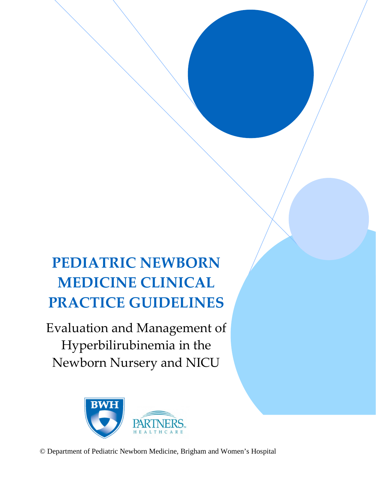# **PEDIATRIC NEWBORN MEDICINE CLINICAL PRACTICE GUIDELINES**

Evaluation and Management of Hyperbilirubinemia in the Newborn Nursery and NICU



© Department of Pediatric Newborn Medicine, Brigham and Women's Hospital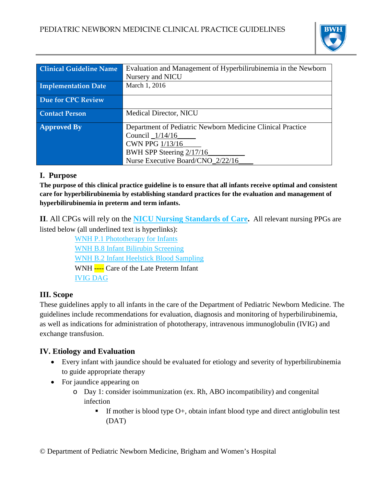

| <b>Clinical Guideline Name</b> | Evaluation and Management of Hyperbilirubinemia in the Newborn |  |
|--------------------------------|----------------------------------------------------------------|--|
|                                | Nursery and NICU                                               |  |
| <b>Implementation Date</b>     | March 1, 2016                                                  |  |
|                                |                                                                |  |
| <b>Due for CPC Review</b>      |                                                                |  |
|                                |                                                                |  |
| <b>Contact Person</b>          | <b>Medical Director, NICU</b>                                  |  |
|                                |                                                                |  |
| <b>Approved By</b>             | Department of Pediatric Newborn Medicine Clinical Practice     |  |
|                                | Council _1/14/16                                               |  |
|                                | <b>CWN PPG 1/13/16</b>                                         |  |
|                                | BWH SPP Steering 2/17/16                                       |  |
|                                | Nurse Executive Board/CNO 2/22/16                              |  |

## **I. Purpose**

**The purpose of this clinical practice guideline is to ensure that all infants receive optimal and consistent care for hyperbilirubinemia by establishing standard practices for the evaluation and management of hyperbilirubinemia in preterm and term infants.**

**II**. All CPGs will rely on the **[NICU Nursing Standards of Care.](https://hospitalpolicies.ellucid.com/documents/view/3228)** All relevant nursing PPGs are listed below (all underlined text is hyperlinks):

> [WNH P.1 Phototherapy for Infants](https://hospitalpolicies.ellucid.com/documents/view/3299) [WNH B.8 Infant Bilirubin Screening](https://hospitalpolicies.ellucid.com/documents/view/3246) [WNH B.2 Infant Heelstick Blood Sampling](https://hospitalpolicies.ellucid.com/documents/view/3242) WNH ---- Care of the Late Preterm Infant [IVIG DAG](http://www.bwhpikenotes.org/policies/departments/NICU/drug_admin/DAGs/IVIG.pdf)

## **III. Scope**

These guidelines apply to all infants in the care of the Department of Pediatric Newborn Medicine. The guidelines include recommendations for evaluation, diagnosis and monitoring of hyperbilirubinemia, as well as indications for administration of phototherapy, intravenous immunoglobulin (IVIG) and exchange transfusion.

## **IV. Etiology and Evaluation**

- Every infant with jaundice should be evaluated for etiology and severity of hyperbilirubinemia to guide appropriate therapy
- For jaundice appearing on
	- o Day 1: consider isoimmunization (ex. Rh, ABO incompatibility) and congenital infection
		- If mother is blood type  $O<sub>+</sub>$ , obtain infant blood type and direct antiglobulin test (DAT)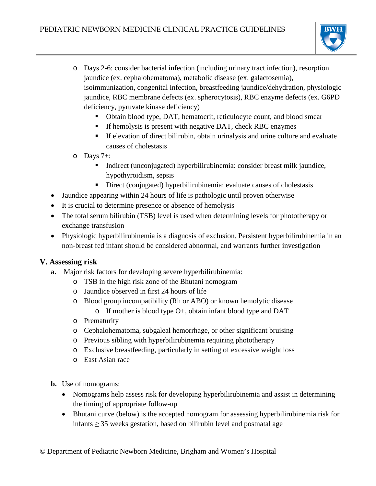

- o Days 2-6: consider bacterial infection (including urinary tract infection), resorption jaundice (ex. cephalohematoma), metabolic disease (ex. galactosemia), isoimmunization, congenital infection, breastfeeding jaundice/dehydration, physiologic jaundice, RBC membrane defects (ex. spherocytosis), RBC enzyme defects (ex. G6PD deficiency, pyruvate kinase deficiency)
	- Obtain blood type, DAT, hematocrit, reticulocyte count, and blood smear
	- **If hemolysis is present with negative DAT, check RBC enzymes**
	- If elevation of direct bilirubin, obtain urinalysis and urine culture and evaluate causes of cholestasis
- o Days 7+:
	- Indirect (unconjugated) hyperbilirubinemia: consider breast milk jaundice, hypothyroidism, sepsis
	- Direct (conjugated) hyperbilirubinemia: evaluate causes of cholestasis
- Jaundice appearing within 24 hours of life is pathologic until proven otherwise
- It is crucial to determine presence or absence of hemolysis
- The total serum bilirubin (TSB) level is used when determining levels for phototherapy or exchange transfusion
- Physiologic hyperbilirubinemia is a diagnosis of exclusion. Persistent hyperbilirubinemia in an non-breast fed infant should be considered abnormal, and warrants further investigation

## **V. Assessing risk**

- **a.** Major risk factors for developing severe hyperbilirubinemia:
	- o TSB in the high risk zone of the Bhutani nomogram
	- o Jaundice observed in first 24 hours of life
	- o Blood group incompatibility (Rh or ABO) or known hemolytic disease
		- $\circ$  If mother is blood type O+, obtain infant blood type and DAT
	- o Prematurity
	- o Cephalohematoma, subgaleal hemorrhage, or other significant bruising
	- o Previous sibling with hyperbilirubinemia requiring phototherapy
	- o Exclusive breastfeeding, particularly in setting of excessive weight loss
	- o East Asian race
- **b.** Use of nomograms:
	- Nomograms help assess risk for developing hyperbilirubinemia and assist in determining the timing of appropriate follow-up
	- Bhutani curve (below) is the accepted nomogram for assessing hyperbilirubinemia risk for infants  $\geq$  35 weeks gestation, based on bilirubin level and postnatal age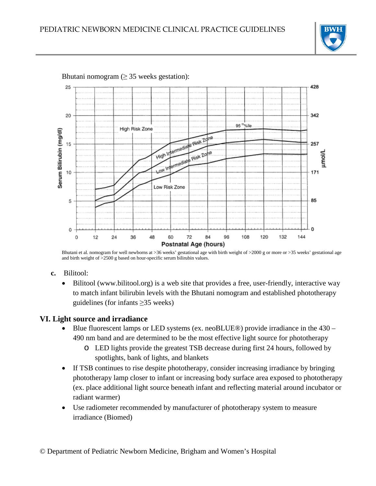



Bhutani nomogram  $(≥ 35$  weeks gestation):

Bhutani et al. nomogram for well newborns at >36 weeks' gestational age with birth weight of >2000 g or more or >35 weeks' gestational age and birth weight of >2500 g based on hour-specific serum bilirubin values.

- **c.** Bilitool:
	- Bilitool (www.bilitool.org) is a web site that provides a free, user-friendly, interactive way to match infant bilirubin levels with the Bhutani nomogram and established phototherapy guidelines (for infants ≥35 weeks)

#### **VI. Light source and irradiance**

- Blue fluorescent lamps or LED systems (ex. neoBLUE®) provide irradiance in the 430 490 nm band and are determined to be the most effective light source for phototherapy
	- o LED lights provide the greatest TSB decrease during first 24 hours, followed by spotlights, bank of lights, and blankets
- If TSB continues to rise despite phototherapy, consider increasing irradiance by bringing phototherapy lamp closer to infant or increasing body surface area exposed to phototherapy (ex. place additional light source beneath infant and reflecting material around incubator or radiant warmer)
- Use radiometer recommended by manufacturer of phototherapy system to measure irradiance (Biomed)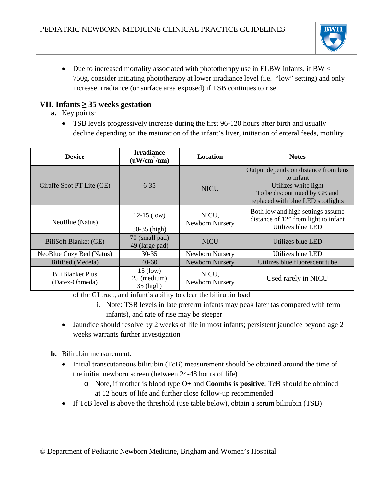

• Due to increased mortality associated with phototherapy use in ELBW infants, if BW  $\lt$ 750g, consider initiating phototherapy at lower irradiance level (i.e. "low" setting) and only increase irradiance (or surface area exposed) if TSB continues to rise

## **VII. Infants ≥ 35 weeks gestation**

- **a.** Key points:
	- TSB levels progressively increase during the first 96-120 hours after birth and usually decline depending on the maturation of the infant's liver, initiation of enteral feeds, motility

| <b>Device</b>                             | <b>Irradiance</b><br>$(uW/cm^2/nm)$            | <b>Location</b>          | <b>Notes</b>                                                                                                                                   |
|-------------------------------------------|------------------------------------------------|--------------------------|------------------------------------------------------------------------------------------------------------------------------------------------|
| Giraffe Spot PT Lite (GE)                 | $6 - 35$                                       | <b>NICU</b>              | Output depends on distance from lens<br>to infant<br>Utilizes white light<br>To be discontinued by GE and<br>replaced with blue LED spotlights |
| NeoBlue (Natus)                           | $12-15$ (low)<br>$30-35$ (high)                | NICU,<br>Newborn Nursery | Both low and high settings assume<br>distance of 12" from light to infant<br>Utilizes blue LED                                                 |
| BiliSoft Blanket (GE)                     | 70 (small pad)<br>49 (large pad)               | <b>NICU</b>              | Utilizes blue LED                                                                                                                              |
| NeoBlue Cozy Bed (Natus)                  | $30 - 35$                                      | Newborn Nursery          | Utilizes blue LED                                                                                                                              |
| BiliBed (Medela)                          | $40-60$                                        | Newborn Nursery          | Utilizes blue fluorescent tube                                                                                                                 |
| <b>BiliBlanket Plus</b><br>(Datex-Ohmeda) | $15 \text{ (low)}$<br>25 (medium)<br>35 (high) | NICU,<br>Newborn Nursery | Used rarely in NICU                                                                                                                            |

of the GI tract, and infant's ability to clear the bilirubin load

- i. Note: TSB levels in late preterm infants may peak later (as compared with term infants), and rate of rise may be steeper
- Jaundice should resolve by 2 weeks of life in most infants; persistent jaundice beyond age 2 weeks warrants further investigation
- **b.** Bilirubin measurement:
	- Initial transcutaneous bilirubin (TcB) measurement should be obtained around the time of the initial newborn screen (between 24-48 hours of life)
		- o Note, if mother is blood type O+ and **Coombs is positive**, TcB should be obtained at 12 hours of life and further close follow-up recommended
	- If TcB level is above the threshold (use table below), obtain a serum bilirubin (TSB)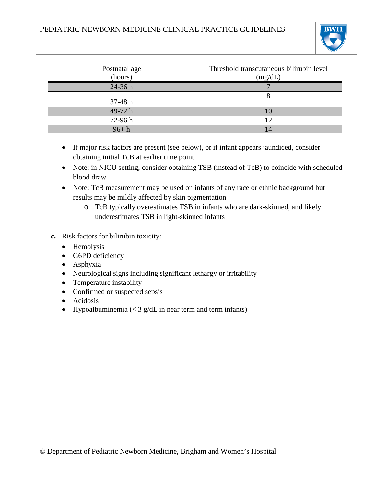

| Postnatal age<br>(hours) | Threshold transcutaneous bilirubin level<br>(mg/dL) |
|--------------------------|-----------------------------------------------------|
| $24-36h$                 |                                                     |
| $37-48 h$                |                                                     |
| 49-72 h                  |                                                     |
| 72-96h                   | 12                                                  |
| $96 + h$                 |                                                     |

- If major risk factors are present (see below), or if infant appears jaundiced, consider obtaining initial TcB at earlier time point
- Note: in NICU setting, consider obtaining TSB (instead of TcB) to coincide with scheduled blood draw
- Note: TcB measurement may be used on infants of any race or ethnic background but results may be mildly affected by skin pigmentation
	- o TcB typically overestimates TSB in infants who are dark-skinned, and likely underestimates TSB in light-skinned infants
- **c.** Risk factors for bilirubin toxicity:
	- Hemolysis
	- G6PD deficiency
	- Asphyxia
	- Neurological signs including significant lethargy or irritability
	- Temperature instability
	- Confirmed or suspected sepsis
	- Acidosis
	- Hypoalbuminemia  $\left($  < 3 g/dL in near term and term infants)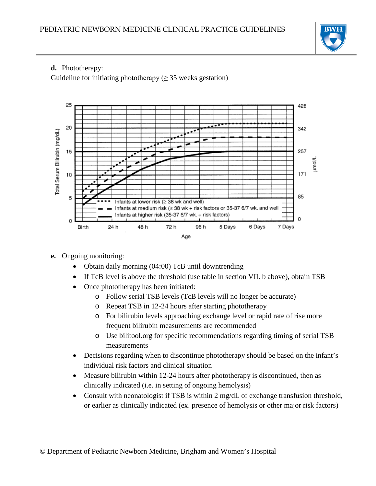

## **d.** Phototherapy:

Guideline for initiating phototherapy ( $\geq$  35 weeks gestation)



- **e.** Ongoing monitoring:
	- Obtain daily morning (04:00) TcB until downtrending
	- If TcB level is above the threshold (use table in section VII. b above), obtain TSB
	- Once phototherapy has been initiated:
		- o Follow serial TSB levels (TcB levels will no longer be accurate)
		- o Repeat TSB in 12-24 hours after starting phototherapy
		- o For bilirubin levels approaching exchange level or rapid rate of rise more frequent bilirubin measurements are recommended
		- o Use bilitool.org for specific recommendations regarding timing of serial TSB measurements
	- Decisions regarding when to discontinue phototherapy should be based on the infant's individual risk factors and clinical situation
	- Measure bilirubin within 12-24 hours after phototherapy is discontinued, then as clinically indicated (i.e. in setting of ongoing hemolysis)
	- Consult with neonatologist if TSB is within 2 mg/dL of exchange transfusion threshold, or earlier as clinically indicated (ex. presence of hemolysis or other major risk factors)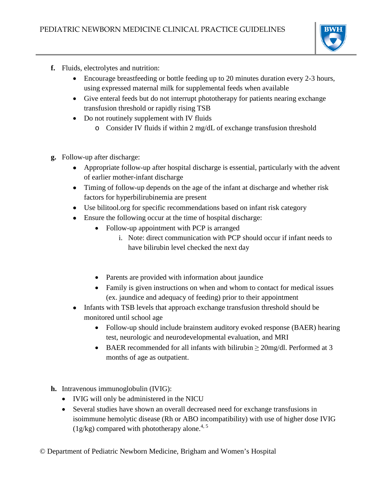

- **f.** Fluids, electrolytes and nutrition:
	- Encourage breastfeeding or bottle feeding up to 20 minutes duration every 2-3 hours, using expressed maternal milk for supplemental feeds when available
	- Give enteral feeds but do not interrupt phototherapy for patients nearing exchange transfusion threshold or rapidly rising TSB
	- Do not routinely supplement with IV fluids
		- o Consider IV fluids if within 2 mg/dL of exchange transfusion threshold
- **g.** Follow-up after discharge:
	- Appropriate follow-up after hospital discharge is essential, particularly with the advent of earlier mother-infant discharge
	- Timing of follow-up depends on the age of the infant at discharge and whether risk factors for hyperbilirubinemia are present
	- Use bilitool.org for specific recommendations based on infant risk category
	- Ensure the following occur at the time of hospital discharge:
		- Follow-up appointment with PCP is arranged
			- i. Note: direct communication with PCP should occur if infant needs to have bilirubin level checked the next day
		- Parents are provided with information about jaundice
		- Family is given instructions on when and whom to contact for medical issues (ex. jaundice and adequacy of feeding) prior to their appointment
	- Infants with TSB levels that approach exchange transfusion threshold should be monitored until school age
		- Follow-up should include brainstem auditory evoked response (BAER) hearing test, neurologic and neurodevelopmental evaluation, and MRI
		- BAER recommended for all infants with bilirubin  $\geq 20$ mg/dl. Performed at 3 months of age as outpatient.
- **h.** Intravenous immunoglobulin (IVIG):
	- IVIG will only be administered in the NICU
	- Several studies have shown an overall decreased need for exchange transfusions in isoimmune hemolytic disease (Rh or ABO incompatibility) with use of higher dose IVIG (1g/kg) compared with phototherapy alone.<sup>4, 5</sup>

© Department of Pediatric Newborn Medicine, Brigham and Women's Hospital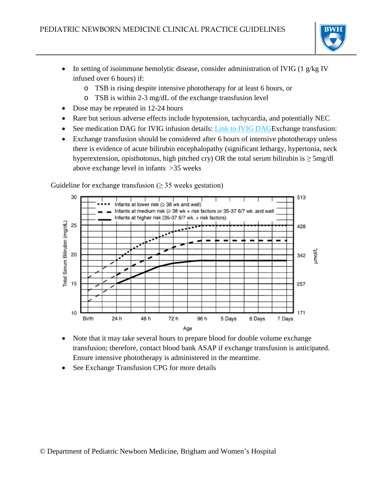

- In setting of isoimmune hemolytic disease, consider administration of IVIG (1 g/kg IV infused over 6 hours) if:
	- o TSB is rising despite intensive phototherapy for at least 6 hours, or
	- o TSB is within 2-3 mg/dL of the exchange transfusion level
- Dose may be repeated in 12-24 hours
- Rare but serious adverse effects include hypotension, tachycardia, and potentially NEC
- See medication DAG for IVIG infusion details: [Link to IVIG DAGE](http://www.bwhpikenotes.org/policies/departments/NICU/drug_admin/DAGs/IVIG.pdf)xchange transfusion:
- Exchange transfusion should be considered after 6 hours of intensive phototherapy unless there is evidence of acute bilirubin encephalopathy (significant lethargy, hypertonia, neck hyperextension, opisthotonus, high pitched cry) OR the total serum bilirubin is  $\geq$  5mg/dl above exchange level in infants >35 weeks



Guideline for exchange transfusion  $(≥ 35$  weeks gestation)

- Note that it may take several hours to prepare blood for double volume exchange transfusion; therefore, contact blood bank ASAP if exchange transfusion is anticipated. Ensure intensive phototherapy is administered in the meantime.
- See Exchange Transfusion CPG for more details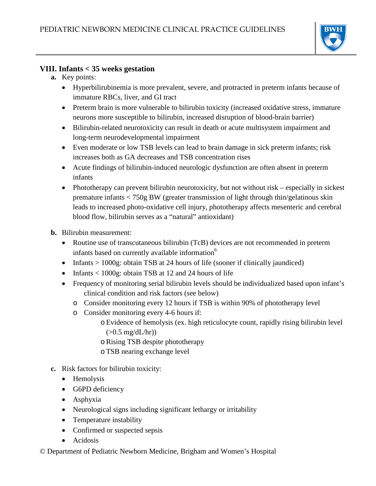

#### **VIII. Infants < 35 weeks gestation**

- **a.** Key points:
	- Hyperbilirubinemia is more prevalent, severe, and protracted in preterm infants because of immature RBCs, liver, and GI tract
	- Preterm brain is more vulnerable to bilirubin toxicity (increased oxidative stress, immature neurons more susceptible to bilirubin, increased disruption of blood-brain barrier)
	- Bilirubin-related neurotoxicity can result in death or acute multisystem impairment and long-term neurodevelopmental impairment
	- Even moderate or low TSB levels can lead to brain damage in sick preterm infants; risk increases both as GA decreases and TSB concentration rises
	- Acute findings of bilirubin-induced neurologic dysfunction are often absent in preterm infants
	- Phototherapy can prevent bilirubin neurotoxicity, but not without risk especially in sickest premature infants < 750g BW (greater transmission of light through thin/gelatinous skin leads to increased photo-oxidative cell injury, phototherapy affects mesenteric and cerebral blood flow, bilirubin serves as a "natural" antioxidant)
- **b.** Bilirubin measurement:
	- Routine use of transcutaneous bilirubin (TcB) devices are not recommended in preterm infants based on currently available information<sup>6</sup>
	- Infants > 1000g: obtain TSB at 24 hours of life (sooner if clinically jaundiced)
	- Infants < 1000g: obtain TSB at 12 and 24 hours of life
	- Frequency of monitoring serial bilirubin levels should be individualized based upon infant's clinical condition and risk factors (see below)
		- o Consider monitoring every 12 hours if TSB is within 90% of phototherapy level
		- o Consider monitoring every 4-6 hours if:
			- oEvidence of hemolysis (ex. high reticulocyte count, rapidly rising bilirubin level  $(>0.5 \text{ mg/dL/hr})$
			- oRising TSB despite phototherapy
			- oTSB nearing exchange level
- **c.** Risk factors for bilirubin toxicity:
	- Hemolysis
	- G6PD deficiency
	- Asphyxia
	- Neurological signs including significant lethargy or irritability
	- Temperature instability
	- Confirmed or suspected sepsis
	- Acidosis
- © Department of Pediatric Newborn Medicine, Brigham and Women's Hospital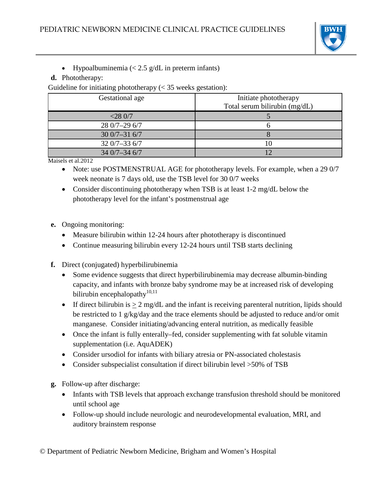

• Hypoalbuminemia  $\langle \langle 2.5 \text{ g/d} \rangle$  in preterm infants)

#### **d.** Phototherapy:

Guideline for initiating phototherapy  $(< 35$  weeks gestation):

| Gestational age | Initiate phototherapy<br>Total serum bilirubin (mg/dL) |
|-----------------|--------------------------------------------------------|
| $<$ 28 0/7      |                                                        |
| 28 0/7-29 6/7   |                                                        |
| $300/7 - 316/7$ |                                                        |
| $320/7 - 336/7$ | 10                                                     |
| $340/7 - 346/7$ |                                                        |

Maisels et al.2012

- Note: use POSTMENSTRUAL AGE for phototherapy levels. For example, when a 29 0/7 week neonate is 7 days old, use the TSB level for 30 0/7 weeks
- Consider discontinuing phototherapy when TSB is at least 1-2 mg/dL below the phototherapy level for the infant's postmenstrual age
- **e.** Ongoing monitoring:
	- Measure bilirubin within 12-24 hours after phototherapy is discontinued
	- Continue measuring bilirubin every 12-24 hours until TSB starts declining
- **f.** Direct (conjugated) hyperbilirubinemia
	- Some evidence suggests that direct hyperbilirubinemia may decrease albumin-binding capacity, and infants with bronze baby syndrome may be at increased risk of developing bilirubin encephalopathy $10,11$
	- If direct bilirubin is  $\geq 2$  mg/dL and the infant is receiving parenteral nutrition, lipids should be restricted to 1 g/kg/day and the trace elements should be adjusted to reduce and/or omit manganese. Consider initiating/advancing enteral nutrition, as medically feasible
	- Once the infant is fully enterally–fed, consider supplementing with fat soluble vitamin supplementation (i.e. AquADEK)
	- Consider ursodiol for infants with biliary atresia or PN-associated cholestasis
	- Consider subspecialist consultation if direct bilirubin level >50% of TSB
- **g.** Follow-up after discharge:
	- Infants with TSB levels that approach exchange transfusion threshold should be monitored until school age
	- Follow-up should include neurologic and neurodevelopmental evaluation, MRI, and auditory brainstem response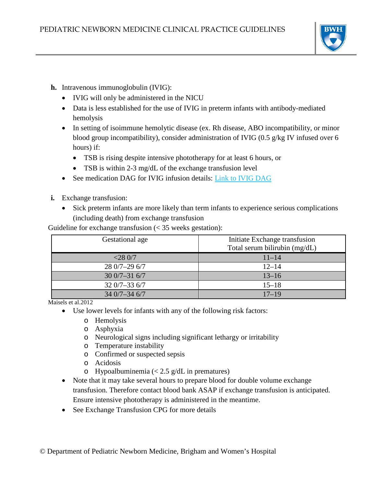

- **h.** Intravenous immunoglobulin (IVIG):
	- IVIG will only be administered in the NICU
	- Data is less established for the use of IVIG in preterm infants with antibody-mediated hemolysis
	- In setting of isoimmune hemolytic disease (ex. Rh disease, ABO incompatibility, or minor blood group incompatibility), consider administration of IVIG (0.5 g/kg IV infused over 6 hours) if:
		- TSB is rising despite intensive phototherapy for at least 6 hours, or
		- TSB is within 2-3 mg/dL of the exchange transfusion level
	- See medication DAG for IVIG infusion details: [Link to IVIG DAG](http://www.bwhpikenotes.org/policies/departments/NICU/drug_admin/DAGs/IVIG.pdf)
- **i.** Exchange transfusion:
	- Sick preterm infants are more likely than term infants to experience serious complications (including death) from exchange transfusion

Guideline for exchange transfusion (< 35 weeks gestation):

| Gestational age | Initiate Exchange transfusion<br>Total serum bilirubin (mg/dL) |
|-----------------|----------------------------------------------------------------|
| $<$ 28 0/7      | $11 - 14$                                                      |
| $280/7 - 296/7$ | $12 - 14$                                                      |
| $300/7 - 316/7$ | $13 - 16$                                                      |
| $320/7 - 336/7$ | $15 - 18$                                                      |
| $340/7 - 346/7$ | $17 - 19$                                                      |

Maisels et al. 2012

- Use lower levels for infants with any of the following risk factors:
	- o Hemolysis
	- o Asphyxia
	- o Neurological signs including significant lethargy or irritability
	- o Temperature instability
	- o Confirmed or suspected sepsis
	- o Acidosis
	- o Hypoalbuminemia  $\langle$  < 2.5 g/dL in prematures)
- Note that it may take several hours to prepare blood for double volume exchange transfusion. Therefore contact blood bank ASAP if exchange transfusion is anticipated. Ensure intensive phototherapy is administered in the meantime.
- See Exchange Transfusion CPG for more details